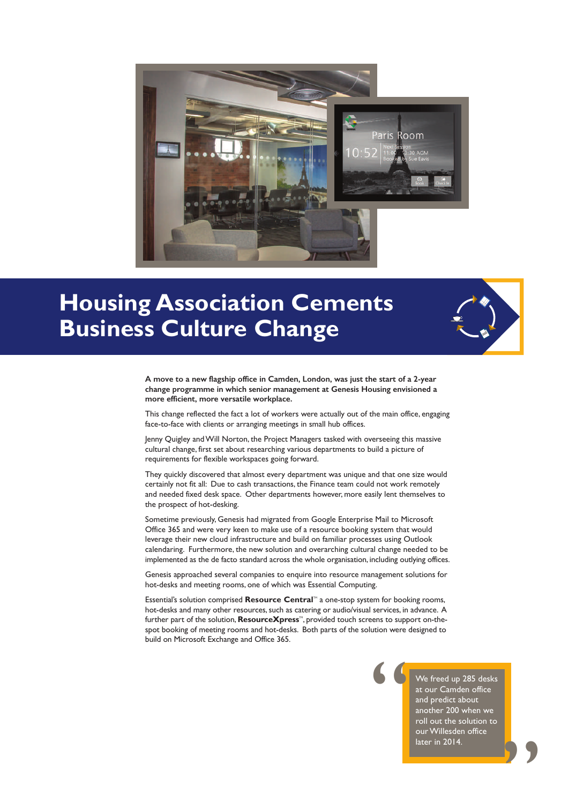

## **Housing Association Cements Business Culture Change**



**A move to a new flagship office in Camden, London, was just the start of a 2-year change programme in which senior management at Genesis Housing envisioned a more efficient, more versatile workplace.**

This change reflected the fact a lot of workers were actually out of the main office, engaging face-to-face with clients or arranging meetings in small hub offices.

Jenny Quigley and Will Norton, the Project Managers tasked with overseeing this massive cultural change, first set about researching various departments to build a picture of requirements for flexible workspaces going forward.

They quickly discovered that almost every department was unique and that one size would certainly not fit all: Due to cash transactions, the Finance team could not work remotely and needed fixed desk space. Other departments however, more easily lent themselves to the prospect of hot-desking.

Sometime previously, Genesis had migrated from Google Enterprise Mail to Microsoft Office 365 and were very keen to make use of a resource booking system that would leverage their new cloud infrastructure and build on familiar processes using Outlook calendaring. Furthermore, the new solution and overarching cultural change needed to be implemented as the de facto standard across the whole organisation, including outlying offices.

Genesis approached several companies to enquire into resource management solutions for hot-desks and meeting rooms, one of which was Essential Computing.

Essential's solution comprised Resource Central<sup>"</sup> a one-stop system for booking rooms, hot-desks and many other resources, such as catering or audio/visual services, in advance. A further part of the solution, **ResourceXpress**<sup>14</sup>, provided touch screens to support on-thespot booking of meeting rooms and hot-desks. Both parts of the solution were designed to build on Microsoft Exchange and Office 365.

> We freed up 285 desks at our Camden office and predict about another 200 when we roll out the solution to our Willesden office later in 2014.

"